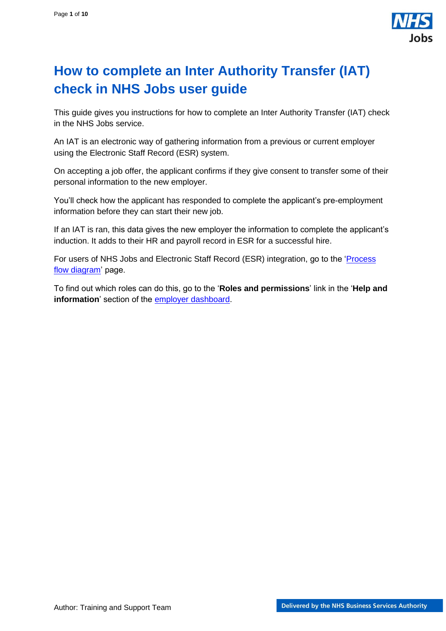

## <span id="page-0-0"></span>**How to complete an Inter Authority Transfer (IAT) check in NHS Jobs user guide**

This guide gives you instructions for how to complete an Inter Authority Transfer (IAT) check in the NHS Jobs service.

An IAT is an electronic way of gathering information from a previous or current employer using the Electronic Staff Record (ESR) system.

On accepting a job offer, the applicant confirms if they give consent to transfer some of their personal information to the new employer.

You'll check how the applicant has responded to complete the applicant's pre-employment information before they can start their new job.

If an IAT is ran, this data gives the new employer the information to complete the applicant's induction. It adds to their HR and payroll record in ESR for a successful hire.

For users of NHS Jobs and Electronic Staff Record (ESR) integration, go to the ['Process](#page-2-0)  [flow diagram'](#page-2-0) page.

To find out which roles can do this, go to the '**Roles and permissions**' link in the '**Help and information**' section of the [employer dashboard.](https://beta.jobs.nhs.uk/home)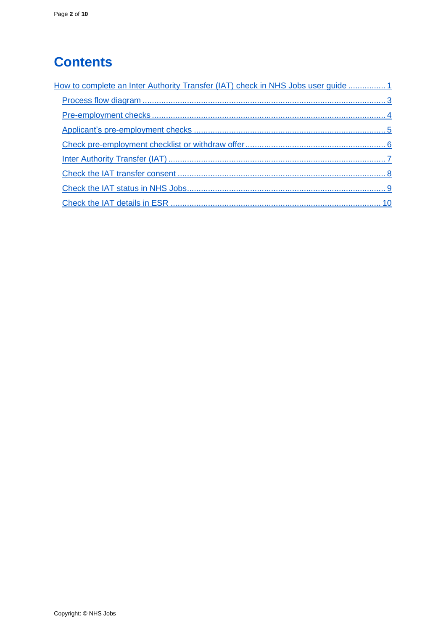# **Contents**

| How to complete an Inter Authority Transfer (IAT) check in NHS Jobs user guide 1 |
|----------------------------------------------------------------------------------|
|                                                                                  |
|                                                                                  |
|                                                                                  |
|                                                                                  |
|                                                                                  |
|                                                                                  |
|                                                                                  |
|                                                                                  |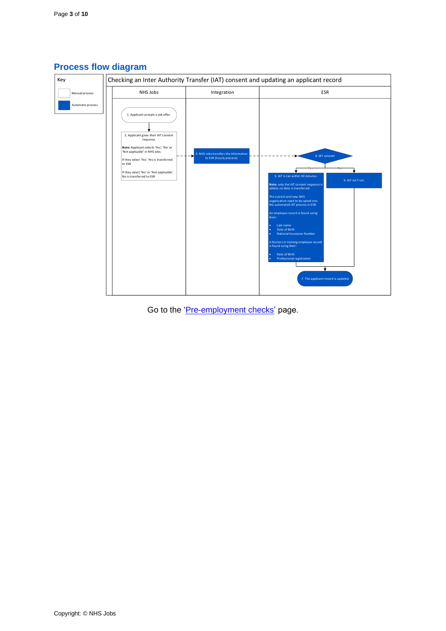

## <span id="page-2-0"></span>**Process flow diagram**

Go to the '*Pre-employment checks*' page.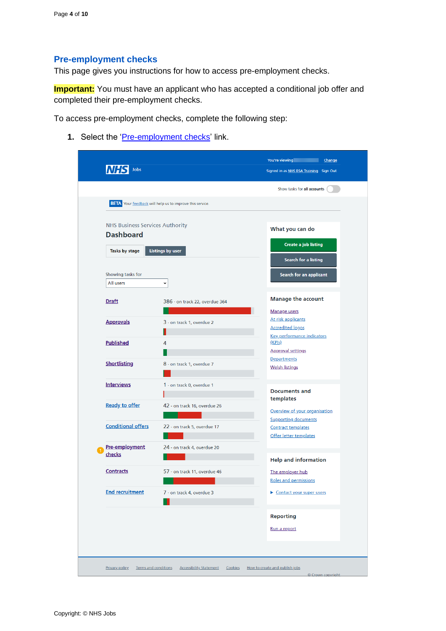## <span id="page-3-0"></span>**Pre-employment checks**

This page gives you instructions for how to access pre-employment checks.

**Important:** You must have an applicant who has accepted a conditional job offer and completed their pre-employment checks.

To access pre-employment checks, complete the following step:

1. Select the ['Pre-employment checks'](#page-4-0) link.

| <b>NHS Business Services Authority</b> | <b>BETA</b> Your feedback will help us to improve this service. | Show tasks for all accounts                                  |
|----------------------------------------|-----------------------------------------------------------------|--------------------------------------------------------------|
|                                        |                                                                 |                                                              |
|                                        |                                                                 |                                                              |
|                                        |                                                                 | What you can do                                              |
| <b>Dashboard</b>                       |                                                                 | Create a job listing                                         |
| Tasks by stage                         | <b>Listings by user</b>                                         | Search for a listing                                         |
| Showing tasks for                      |                                                                 | Search for an applicant                                      |
| All users                              | v                                                               |                                                              |
| <b>Draft</b>                           | 386 - on track 22, overdue 364                                  | <b>Manage the account</b>                                    |
| <b>Approvals</b>                       |                                                                 | Manage users<br>At risk applicants                           |
|                                        | 3 - on track 1, overdue 2                                       | <b>Accredited logos</b>                                      |
| <b>Published</b>                       | 4                                                               | <b>Key performance indicators</b><br>(KPIs)                  |
|                                        |                                                                 | <b>Approval settings</b><br>Departments                      |
| <b>Shortlisting</b>                    | 8 - on track 1, overdue 7                                       | <b>Welsh listings</b>                                        |
| <b>Interviews</b>                      | 1 - on track 0, overdue 1                                       | <b>Documents and</b>                                         |
| <b>Ready to offer</b>                  | 42 - on track 16, overdue 26                                    | templates                                                    |
|                                        |                                                                 | Overview of your organisation<br><b>Supporting documents</b> |
| <b>Conditional offers</b>              | 22 - on track 5, overdue 17                                     | <b>Contract templates</b><br>Offer letter templates          |
| Pre-employment                         | 24 - on track 4, overdue 20                                     |                                                              |
| checks                                 |                                                                 | <b>Help and information</b>                                  |
| <b>Contracts</b>                       | 57 - on track 11, overdue 46                                    | The employer hub<br><b>Roles and permissions</b>             |
| <b>End recruitment</b>                 | 7 - on track 4, overdue 3                                       | Contact your super users                                     |
|                                        |                                                                 | <b>Reporting</b>                                             |
|                                        |                                                                 | Run a report                                                 |
|                                        |                                                                 |                                                              |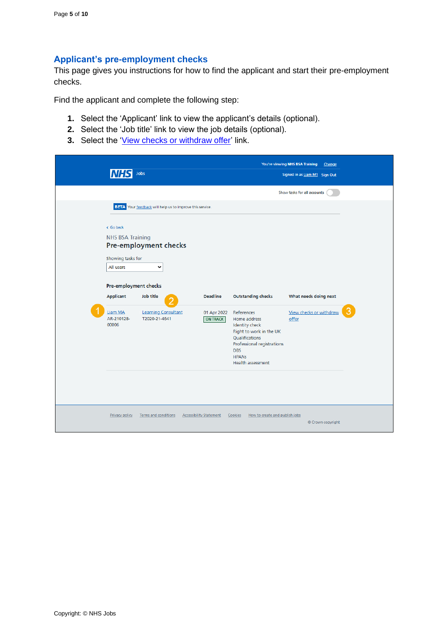## <span id="page-4-0"></span>**Applicant's pre-employment checks**

This page gives you instructions for how to find the applicant and start their pre-employment checks.

Find the applicant and complete the following step:

- **1.** Select the 'Applicant' link to view the applicant's details (optional).
- **2.** Select the 'Job title' link to view the job details (optional).
- **3.** Select the ['View checks or withdraw offer'](#page-5-0) link.

|                                                         | Jobs                                                                                     |                                |                                                                                                                                                                                          | You're viewing NHS BSA Training<br>Change<br>Signed in as Liam M1 Sign Out |  |
|---------------------------------------------------------|------------------------------------------------------------------------------------------|--------------------------------|------------------------------------------------------------------------------------------------------------------------------------------------------------------------------------------|----------------------------------------------------------------------------|--|
|                                                         |                                                                                          |                                |                                                                                                                                                                                          | Show tasks for all accounts                                                |  |
| < Go back<br><b>NHS BSA Training</b>                    | BETA Your feedback will help us to improve this service.<br><b>Pre-employment checks</b> |                                |                                                                                                                                                                                          |                                                                            |  |
| Showing tasks for<br>All users<br>Pre-employment checks | $\checkmark$                                                                             |                                |                                                                                                                                                                                          |                                                                            |  |
| <b>Applicant</b>                                        | Job title                                                                                | <b>Deadline</b>                | <b>Outstanding checks</b>                                                                                                                                                                | What needs doing next                                                      |  |
| Liam MA<br>AR-210128-<br>00006                          | <b>Learning Consultant</b><br>T2020-21-4641                                              | 01 Apr 2022<br><b>ON TRACK</b> | References<br>Home address<br><b>Identity</b> check<br>Right to work in the UK<br>Qualifications<br>Professional registrations<br><b>DBS</b><br><b>HPANS</b><br><b>Health assessment</b> | View checks or withdraw<br>offer                                           |  |
| <b>Privacy policy</b>                                   | <b>Terms and conditions</b>                                                              | <b>Accessibility Statement</b> | Cookies<br>How to create and publish jobs                                                                                                                                                | © Crown copyright                                                          |  |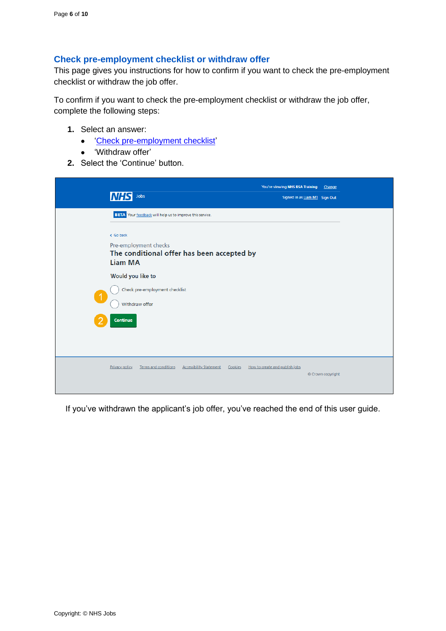#### <span id="page-5-0"></span>**Check pre-employment checklist or withdraw offer**

This page gives you instructions for how to confirm if you want to check the pre-employment checklist or withdraw the job offer.

To confirm if you want to check the pre-employment checklist or withdraw the job offer, complete the following steps:

- **1.** Select an answer:
	- ['Check pre-employment checklist'](#page-6-0)
	- 'Withdraw offer'
- **2.** Select the 'Continue' button.

| Jobs<br><b>INHS</b>                                                                                                                                            | You're viewing NHS BSA Training<br>Change<br>Signed in as Liam M1 Sign Out |
|----------------------------------------------------------------------------------------------------------------------------------------------------------------|----------------------------------------------------------------------------|
| BETA Your feedback will help us to improve this service.<br>< Go back<br>Pre-employment checks<br>The conditional offer has been accepted by<br><b>Liam MA</b> |                                                                            |
| Would you like to<br>Check pre-employment checklist<br>$\blacktriangleleft$<br>Withdraw offer                                                                  |                                                                            |
| Continue                                                                                                                                                       |                                                                            |
| <b>Terms and conditions</b><br><b>Accessibility Statement</b><br>Privacy policy<br>Cookies                                                                     | How to create and publish jobs<br>© Crown copyright                        |

If you've withdrawn the applicant's job offer, you've reached the end of this user guide.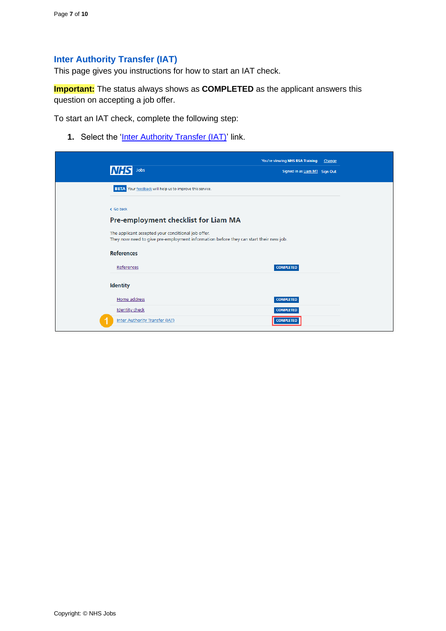## <span id="page-6-0"></span>**Inter Authority Transfer (IAT)**

This page gives you instructions for how to start an IAT check.

**Important:** The status always shows as **COMPLETED** as the applicant answers this question on accepting a job offer.

To start an IAT check, complete the following step:

**1.** Select the '*Inter Authority Transfer (IAT)'* link.

| Jobs                                                                                                                                        | You're viewing NHS BSA Training<br>Signed in as Liam M1 Sign Out | Change |
|---------------------------------------------------------------------------------------------------------------------------------------------|------------------------------------------------------------------|--------|
| BETA Your feedback will help us to improve this service.                                                                                    |                                                                  |        |
|                                                                                                                                             |                                                                  |        |
| < Go back                                                                                                                                   |                                                                  |        |
| Pre-employment checklist for Liam MA                                                                                                        |                                                                  |        |
| The applicant accepted your conditional job offer.<br>They now need to give pre-employment information before they can start their new job. |                                                                  |        |
| <b>References</b>                                                                                                                           |                                                                  |        |
| References                                                                                                                                  | <b>COMPLETED</b>                                                 |        |
| <b>Identity</b>                                                                                                                             |                                                                  |        |
| Home address                                                                                                                                | <b>COMPLETED</b>                                                 |        |
| <b>Identity check</b>                                                                                                                       | <b>COMPLETED</b>                                                 |        |
| <b>Inter Authority Transfer (IAT)</b>                                                                                                       | <b>COMPLETED</b>                                                 |        |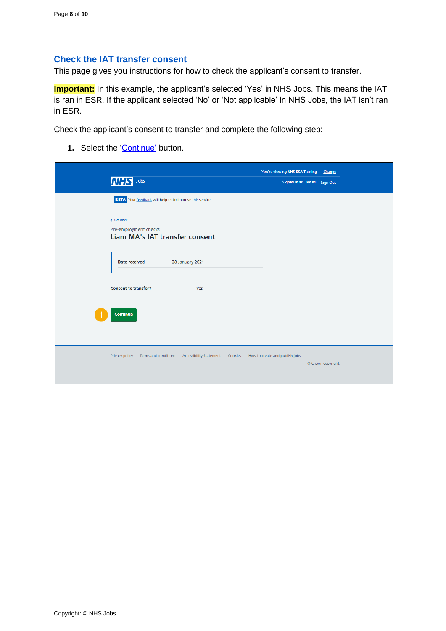#### <span id="page-7-0"></span>**Check the IAT transfer consent**

This page gives you instructions for how to check the applicant's consent to transfer.

**Important:** In this example, the applicant's selected 'Yes' in NHS Jobs. This means the IAT is ran in ESR. If the applicant selected 'No' or 'Not applicable' in NHS Jobs, the IAT isn't ran in ESR.

Check the applicant's consent to transfer and complete the following step:

1. Select the ['Continue'](#page-8-0) button.

| <b>NHS</b><br>Jobs                                                          | You're viewing NHS BSA Training Change<br>Signed in as Liam M1 Sign Out |  |
|-----------------------------------------------------------------------------|-------------------------------------------------------------------------|--|
| BETA Your feedback will help us to improve this service.                    |                                                                         |  |
| < Go back<br>Pre-employment checks<br><b>Liam MA's IAT transfer consent</b> |                                                                         |  |
| Date received<br>28 January 2021                                            |                                                                         |  |
| <b>Consent to transfer?</b><br>Yes                                          |                                                                         |  |
| Continue                                                                    |                                                                         |  |
| Privacy policy<br>Terms and conditions<br><b>Accessibility Statement</b>    | How to create and publish jobs<br>Cookies<br>© Crown copyright          |  |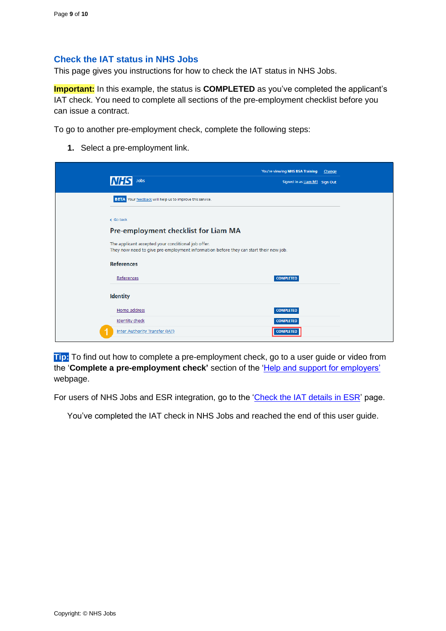#### <span id="page-8-0"></span>**Check the IAT status in NHS Jobs**

This page gives you instructions for how to check the IAT status in NHS Jobs.

**Important:** In this example, the status is **COMPLETED** as you've completed the applicant's IAT check. You need to complete all sections of the pre-employment checklist before you can issue a contract.

To go to another pre-employment check, complete the following steps:

**1.** Select a pre-employment link.

| Jobs                                                                                                                                        | You're viewing NHS BSA Training<br>Change<br>Signed in as Liam M1 Sign Out |
|---------------------------------------------------------------------------------------------------------------------------------------------|----------------------------------------------------------------------------|
| BETA Your feedback will help us to improve this service.                                                                                    |                                                                            |
| < Go back                                                                                                                                   |                                                                            |
| Pre-employment checklist for Liam MA                                                                                                        |                                                                            |
| The applicant accepted your conditional job offer.<br>They now need to give pre-employment information before they can start their new job. |                                                                            |
| <b>References</b>                                                                                                                           |                                                                            |
| References                                                                                                                                  | <b>COMPLETED</b>                                                           |
| <b>Identity</b>                                                                                                                             |                                                                            |
| Home address                                                                                                                                | <b>COMPLETED</b>                                                           |
| <b>Identity check</b>                                                                                                                       | <b>COMPLETED</b>                                                           |
| Inter Authority Transfer (IAT)                                                                                                              | <b>COMPLETED</b>                                                           |

**Tip:** To find out how to complete a pre-employment check, go to a user guide or video from the '**Complete a pre-employment check'** section of the ['Help and support for employers'](https://www.nhsbsa.nhs.uk/new-nhs-jobs-service/help-and-support-employers) webpage.

For users of NHS Jobs and ESR integration, go to the ['Check the IAT details](#page-9-0) in ESR' page.

You've completed the IAT check in NHS Jobs and reached the end of this user guide.